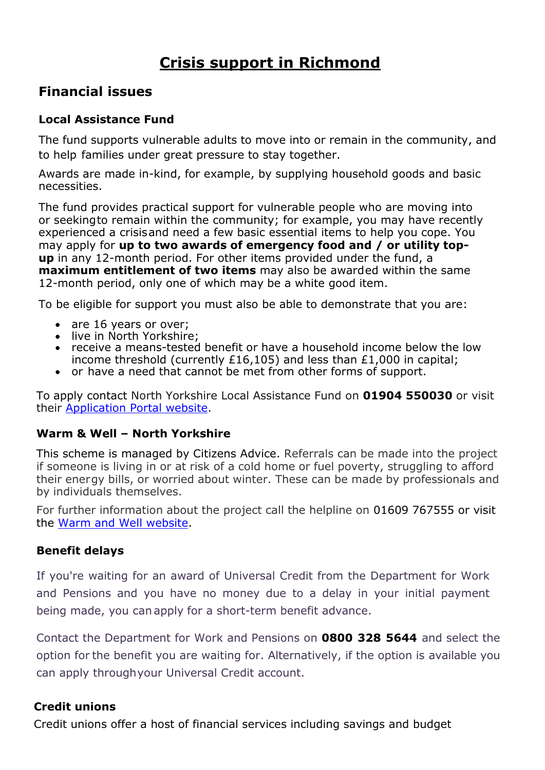# **Crisis support in Richmond**

### **Financial issues**

### **Local Assistance Fund**

The fund supports vulnerable adults to move into or remain in the community, and to help families under great pressure to stay together.

Awards are made in-kind, for example, by supplying household goods and basic necessities.

The fund provides practical support for vulnerable people who are moving into or seekingto remain within the community; for example, you may have recently experienced a crisisand need a few basic essential items to help you cope. You may apply for **up to two awards of emergency food and / or utility topup** in any 12-month period. For other items provided under the fund, a **maximum entitlement of two items** may also be awarded within the same 12-month period, only one of which may be a white good item.

To be eligible for support you must also be able to demonstrate that you are:

- are 16 years or over;
- live in North Yorkshire;
- receive a means-tested benefit or have a household income below the low income threshold (currently £16,105) and less than £1,000 in capital;
- or have a need that cannot be met from other forms of support.

To apply contact North Yorkshire Local Assistance Fund on **01904 550030** or visit their [Application Portal website.](https://nylaf.flexigrant.com/)

#### **Warm & Well – North Yorkshire**

This scheme is managed by Citizens Advice. Referrals can be made into the project if someone is living in or at risk of a cold home or fuel poverty, struggling to afford their energy bills, or worried about winter. These can be made by professionals and by individuals themselves.

For further information about the project call the helpline on 01609 767555 or visit the [Warm and Well website.](https://www.warmandwell.org.uk/)

#### **Benefit delays**

If you're waiting for an award of Universal Credit from the Department for Work and Pensions and you have no money due to a delay in your initial payment being made, you can apply for a short-term benefit advance.

Contact the Department for Work and Pensions on **0800 328 5644** and select the option for the benefit you are waiting for. Alternatively, if the option is available you can apply throughyour Universal Credit account.

#### **Credit unions**

Credit unions offer a host of financial services including savings and budget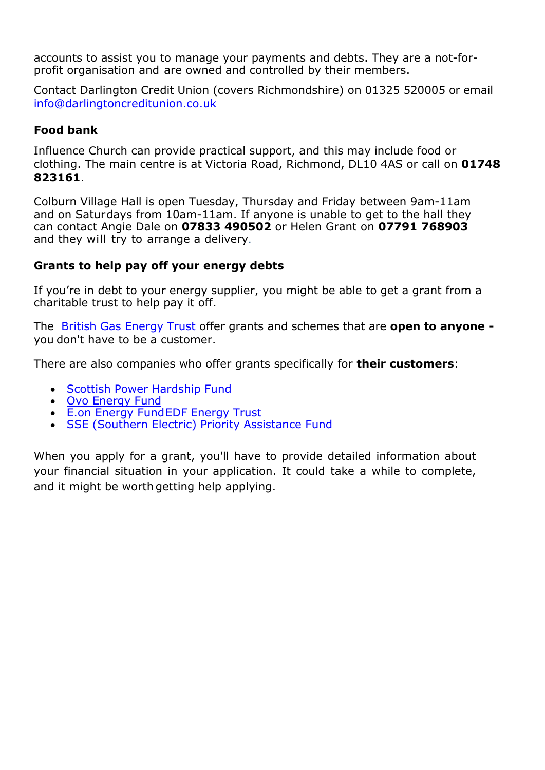accounts to assist you to manage your payments and debts. They are a not-forprofit organisation and are owned and controlled by their members.

Contact Darlington Credit Union (covers Richmondshire) on 01325 520005 or email [info@darlingtoncreditunion.co.uk](mailto:info@darlingtoncreditunion.co.uk)

#### **Food bank**

Influence Church can provide practical support, and this may include food or clothing. The main centre is at Victoria Road, Richmond, DL10 4AS or call on **01748 823161**.

Colburn Village Hall is open Tuesday, Thursday and Friday between 9am-11am and on Saturdays from 10am-11am. If anyone is unable to get to the hall they can contact Angie Dale on **07833 490502** or Helen Grant on **07791 768903** and they will try to arrange a delivery.

#### **Grants to help pay off your energy debts**

If you're in debt to your energy supplier, you might be able to get a grant from a charitable trust to help pay it off.

The British Gas [Energy](http://www.britishgasenergytrust.org.uk/) Trust offer grants and schemes that are **open to anyone**  you don't have to be a customer.

There are also companies who offer grants specifically for **their customers**:

- Scottish Power [Hardship](https://community.scottishpower.co.uk/t5/Help-paying-your-bill/Hardship-Fund/ta-p/53) Fund
- Ovo [Energy](https://www.ovoenergy.com/ovo-answers/topics/payments-and-statements/payments/what-is-the-ovo-energy-fund.html) Fund
- [E.on Energy Fund](https://www.eonenergy.com/for-your-home/saving-energy/need-little-extra-help/energy-fund)[EDF Energy](http://www.edfenergytrust.org.uk/) Trust
- SSE (Southern Electric) Priority [Assistance](https://sse.co.uk/help/accessibility/priority-assistance-fund) Fund

When you apply for a grant, you'll have to provide detailed information about your financial situation in your application. It could take a while to complete, and it might be worth getting help applying.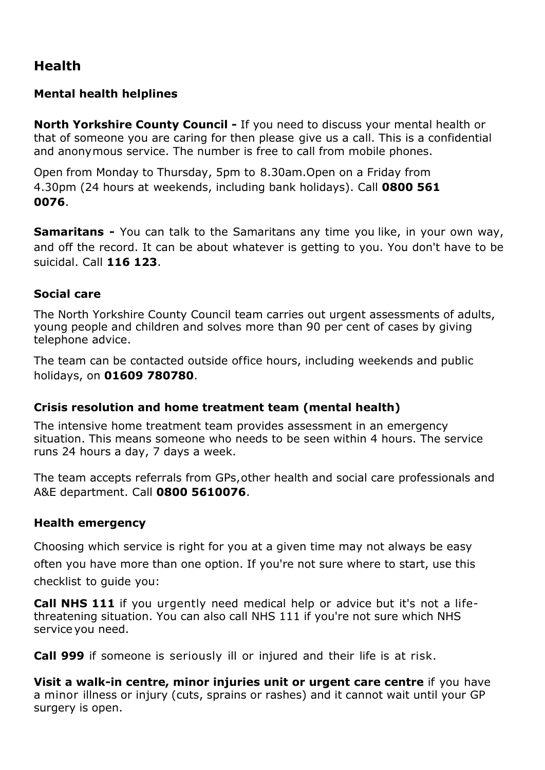## **Health**

#### **Mental health helplines**

**North Yorkshire County Council -** If you need to discuss your mental health or that of someone you are caring for then please give us a call. This is a confidential and anonymous service. The number is free to call from mobile phones.

Open from Monday to Thursday, 5pm to 8.30am.Open on a Friday from 4.30pm (24 hours at weekends, including bank holidays). Call **0800 561 0076**.

**Samaritans -** You can talk to the Samaritans any time you like, in your own way, and off the record. It can be about whatever is getting to you. You don't have to be suicidal. Call **116 123**.

#### **Social care**

The North Yorkshire County Council team carries out urgent assessments of adults, young people and children and solves more than 90 per cent of cases by giving telephone advice.

The team can be contacted outside office hours, including weekends and public holidays, on **01609 780780**.

### **Crisis resolution and home treatment team (mental health)**

The intensive home treatment team provides assessment in an emergency situation. This means someone who needs to be seen within 4 hours. The service runs 24 hours a day, 7 days a week.

The team accepts referrals from GPs,other health and social care professionals and A&E department. Call **0800 5610076**.

#### **Health emergency**

Choosing which service is right for you at a given time may not always be easy often you have more than one option. If you're not sure where to start, use this checklist to guide you:

**Call [NHS](https://www.nhs.uk/using-the-nhs/nhs-services/urgent-and-emergency-care/nhs-111/) 111** if you urgently need medical help or advice but it's not a lifethreatening situation. You can also call NHS 111 if you're not sure which NHS service you need.

**Call 999** if someone is seriously ill or injured and their life is at risk.

**Visit a [walk-in](https://www.nhs.uk/using-the-nhs/nhs-services/urgent-and-emergency-care/when-to-visit-an-urgent-care-centre/) centre, minor [injuries](https://www.nhs.uk/using-the-nhs/nhs-services/urgent-and-emergency-care/when-to-visit-an-urgent-care-centre/) unit or urgent care centre** if you have a minor illness or injury (cuts, sprains or rashes) and it cannot wait until your GP surgery is open.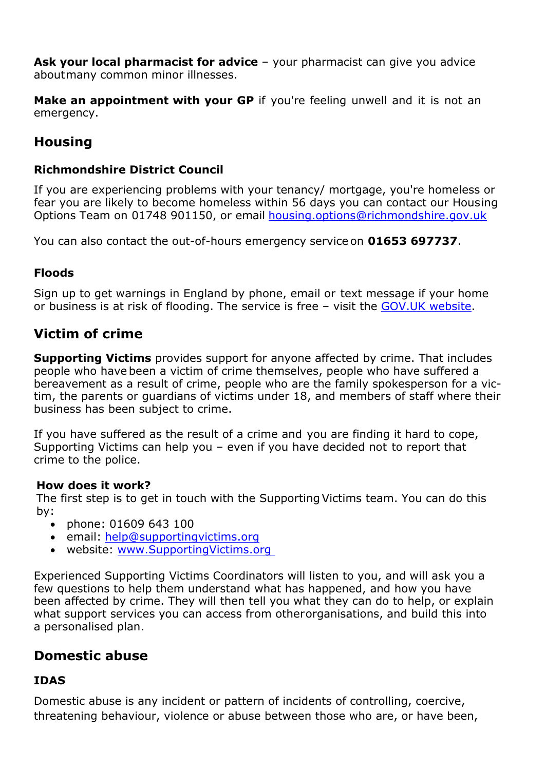**Ask your [local pharmacist f](https://www.nhs.uk/using-the-nhs/nhs-services/pharmacies/what-to-expect-from-your-pharmacy-team/)or advice** – your pharmacist can give you advice aboutmany common minor illnesses.

**Make an [appointment](https://www.nhs.uk/using-the-nhs/nhs-services/gps/gp-appointments-and-bookings/) with your GP** if you're feeling unwell and it is not an emergency.

# **Housing**

#### **Richmondshire District Council**

If you are experiencing problems with your tenancy/ mortgage, you're homeless or fear you are likely to become homeless within 56 days you can contact our Housing Options Team on 01748 901150, or email hou[sing.options@richmondshire.gov.uk](mailto:ing.options@richmondshire.gov.uk)

You can also contact the out-of-hours emergency service on **01653 697737**.

#### **Floods**

[Sign up to get warnings in](https://www.fws.environment-agency.gov.uk/app/olr/register) [England b](https://www.fws.environment-agency.gov.uk/app/olr/register)y phone, email or text message if your home or business is at risk of flooding. The service is free – visit the [GOV.UK website.](https://www.gov.uk/sign-up-for-flood-warnings)

## **Victim of crime**

**Supporting Victims** provides support for anyone affected by crime. That includes people who have been a victim of crime themselves, people who have suffered a bereavement as a result of crime, people who are the family spokesperson for a victim, the parents or guardians of victims under 18, and members of staff where their business has been subject to crime.

If you have suffered as the result of a crime and you are finding it hard to cope, Supporting Victims can help you – even if you have decided not to report that crime to the police.

#### **How does it work?**

The first step is to get in touch with the Supporting Victims team. You can do this by:

- phone: 01609 643 100
- email: [help@supportingvictims.org](mailto:help@supportingvictims.org)
- website: www.SupportingVictims.org

Experienced Supporting Victims Coordinators will listen to you, and will ask you a few questions to help them understand what has happened, and how you have been affected by crime. They will then tell you what they can do to help, or explain what support services you can access from otherorganisations, and build this into a personalised plan.

## **Domestic abuse**

#### **IDAS**

Domestic abuse is any incident or pattern of incidents of controlling, coercive, threatening behaviour, violence or abuse between those who are, or have been,